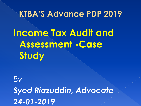### **KTBA'S Advance PDP 2019**

**Income Tax Audit and Assessment -Case Study**

*By Syed Riazuddin, Advocate 24-01-2019*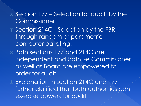- Section 177 Selection for audit by the **Commissioner**
- Section 214C Selection by the FBR through random or parametric computer balloting.
- Both sections 177 and 214C are independent and both i-e Commissioner as well as Board are empowered to order for audit.
- Explanation in section 214C and 177 further clarified that both authorities can exercise powers for audit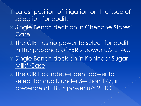Latest position of litigation on the issue of selection for audit:-

- Single Bench decision in Chenone Stores' Case
- The CIR has no power to select for audit, in the presence of FBR's power u/s 214C.
- **Single Bench decision in Kohinoor Sugar** Mills' Case

 The CIR has independent power to select for audit, under Section 177, in presence of FBR's power u/s 214C.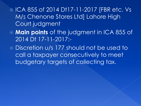### ICA 855 of 2014 Dt17-11-2017 [FBR etc. Vs M/s Chenone Stores Ltd] Lahore High Court judgment

- **Main points** of the judgment in ICA 855 of 2014 Dt 17-11-2017:-
- Discretion u/s 177 should not be used to call a taxpayer consecutively to meet budgetary targets of collecting tax.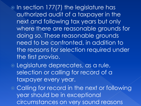$\odot$  In section 177(7) the legislature has authorized audit of a taxpayer in the next and following tax years but only where there are reasonable grounds for doing so. These reasonable grounds need to be confronted, in addition to the reasons for selection required under the first proviso.

 Legislature deprecates, as a rule, selection or calling for record of a taxpayer every year.

 $\circ$  Calling for record in the next or following year should be in exceptional circumstances on very sound reasons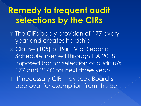# **Remedy to frequent audit** selections by the CIRs

- The CIRs apply provision of 177 every year and creates hardship
- Clause (105) of Part IV of Second Schedule inserted through F.A.2018 imposed bar for selection of audit u/s 177 and 214C for next three years.

o If necessary CIR may seek Board's approval for exemption from this bar.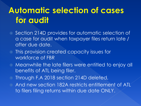# **Automatic selection of cases** for audit

- Section 214D provides for automatic selection of a case for audit when taxpayer files return late / after due date.
- This provision created capacity issues for workforce of FBR
- Meanwhile the late filers were entitled to enjoy all benefits of ATL being filer.
- Through F.A 2018 section 214D deleted,
- And new section 182A restricts entitlement of ATL to filers filing returns within due date ONLY.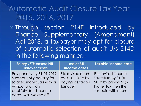### Automatic Audit Closure Tax Year 2015, 2016, 2017

 Through section 214E introduced by Finance Supplementary (Amendment) Act 2018, a taxpayer may opt for closure of automatic selection of audit U/s 214D in the following manner:-

| Salary / FTR cases/ NIL<br><b>Turnover cases</b>                                                                                                            | <b>Loss or BTL</b><br>income cases                                      | Taxable income case                                                                                              |
|-------------------------------------------------------------------------------------------------------------------------------------------------------------|-------------------------------------------------------------------------|------------------------------------------------------------------------------------------------------------------|
| Pay penalty by 31-01-2019.<br>Subsequently penalty for<br>salaried individuals with or<br>without profit on<br>debt/dividend income<br>cases, was waved off | File revised return<br>by 31-01-2019 by<br>paying 2% tax on<br>turnover | File revised income<br>tax return by 31-01-<br>2019 by paying 25%<br>higher tax then the<br>tax paid with return |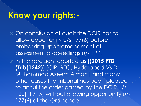## Know your rights:-

- On conclusion of audit the DCIR has to allow opportunity u/s 177(6) before embarking upon amendment of assessment proceedings u/s 122.
- In the decision reported as **[(2015 PTD (Trib)1242)**] [CIR, RTO, Hyderabad Vs Dr Muhammad Azeem Almani] and many other cases the Tribunal has been pleased to annul the order passed by the DCIR u/s 122(1) / (5) without allowing opportunity u/s 177(6) of the Ordinance.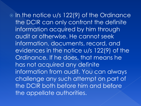$\odot$  In the notice u/s 122(9) of the Ordinance the DCIR can only confront the definite information acquired by him through audit or otherwise. He cannot seek information, documents, record, and evidences in the notice u/s 122(9) of the Ordinance. If he does, that means he has not acquired any definite information from audit. You can always challenge any such attempt on part of the DCIR both before him and before the appellate authorities.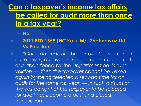<u>Can a taxpayer's income tax affairs</u> be called for audit more than once in a tax year?

#### › **No**

 **2011 PTD 1558 (HC Kar) [M/s Shahnawaz Ltd Vs Pakistan]**

 *"Once an audit has been called, in relation to a taxpayer, and is being or has been conducted, or is abandoned by the Department on its own volition ---, then the taxpayer cannot be vexed again by being selected a second time for an audit for the same tax year. --- In such a situation, the vested right of the taxpayer to be selected for audit has become a past and closed transaction*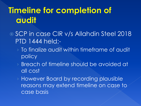# **Timeline for completion of** audit

- SCP in case CIR v/s Allahdin Steel 2018 PTD 1444 held:-
	- › To finalize audit within timeframe of audit policy
	- › Breach of timeline should be avoided at all cost
	- › However Board by recording plausible reasons may extend timeline on case to case basis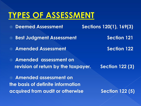## **TYPES OF ASSESSMENT**

 **Deemed Assessment Sections 120(1), 169(3) 8** Best Judgment Assessment **Section 121 Example 28 Amended Assessment Section 122 Amended assessment on revision of return by the taxpayer. Section 122 (3) Amended assessment on the basis of definite information** 

**acquired from audit or otherwise Section 122 (5)**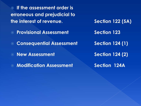**If the assessment order is erroneous and prejudicial to the interest of revenue.** Section 122 (5A)

- **Example 23** Provisional Assessment Entertainment Section 123
- **Consequential Assessment Section 124 (1)**
- **New Assessment Section 124 (2)**
- **Modification Assessment Section 124A**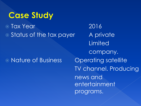## **Case Study**

 Tax Year 2016 • Status of the tax payer A private

### Nature of Business Operating satellite

**Limited** company. TV channel. Producing news and entertainment programs.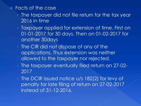#### Facts of the case

- › The taxpayer did not file return for the tax year 2016 in time
- › Taxpayer applied for extension of time. First on 01-01-2017 for 30 days. Then on 01-02-2017 for another 30days
- › The CIR did not dispose of any of the applications. Thus extension was neither allowed to the taxpayer nor rejected.
- › The taxpayer eventually filed return on 27-02- 2017
- › The DCIR issued notice u/s 182(2) for levy of penalty for late filing of return on 27-02-2017 instead of 31-12-2016.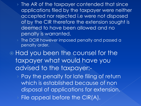- › The AR of the taxpayer contended that since applications filed by the taxpayer were neither accepted nor rejected i.e were not disposed of by the CIR therefore the extension sought is deemed to have been allowed and no penalty is warranted.
- The DCIR however imposed penalty and passed a penalty order.

 Had you been the counsel for the taxpayer what would have you advised to the taxpayer:-

› Pay the penalty for late filing of return which is established because of non disposal of applications for extension. File appeal before the CIR(A).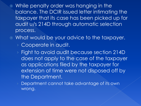- While penalty order was hanging in the balance. The DCIR issued letter intimating the taxpayer that its case has been picked up for audit u/s 214D through automatic selection process.
- What would be your advice to the taxpayer.
	- › Cooperate in audit.
	- › Fight to avoid audit because section 214D does not apply to the case of the taxpayer as applications filed by the taxpayer for extension of time were not disposed off by the Department.
	- Department cannot take advantage of its own wrong.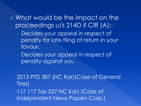What would be the impact on the proceedings u/s 214D if CIR (A):-

› Decides your appeal in respect of penalty for late filing of return in your favour.

› Decides your appeal in respect of penalty against you.

2013 PTD 387 (HC Kar)(Case of General Tires) 117 117 Tax 527 HC Kar) (Case of Independent News Papers Corp.)